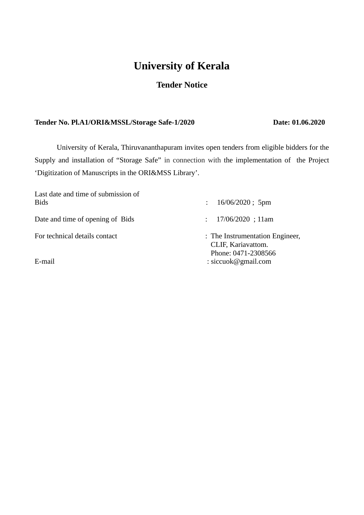# **University of Kerala**

## **Tender Notice**

## **Tender No. Pl.A1/ORI&MSSL/Storage Safe-1/2020 Date: 01.06.2020**

University of Kerala, Thiruvananthapuram invites open tenders from eligible bidders for the Supply and installation of "Storage Safe" in connection with the implementation of the Project 'Digitization of Manuscripts in the ORI&MSS Library'.

| Last date and time of submission of<br><b>Bids</b> | $16/06/2020$ ; 5pm<br>$\ddot{\phantom{a}}$                                   |
|----------------------------------------------------|------------------------------------------------------------------------------|
| Date and time of opening of Bids                   | 17/06/2020; 11am<br>$\mathcal{L}$                                            |
| For technical details contact                      | : The Instrumentation Engineer,<br>CLIF, Kariavattom.<br>Phone: 0471-2308566 |
| E-mail                                             | : siccuok@gmail.com                                                          |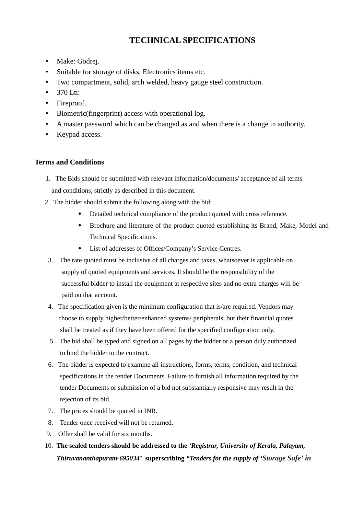## **TECHNICAL SPECIFICATIONS**

- Make: Godrej.
- Suitable for storage of disks, Electronics items etc.
- Two compartment, solid, arch welded, heavy gauge steel construction.
- $\bullet$  370 Ltr.
- Fireproof.
- Biometric(fingerprint) access with operational log.
- A master password which can be changed as and when there is a change in authority.
- Keypad access.

## **Terms and Conditions**

- 1. The Bids should be submitted with relevant information/documents/ acceptance of all terms and conditions, strictly as described in this document.
- 2. The bidder should submit the following along with the bid:
	- Detailed technical compliance of the product quoted with cross reference.
	- Brochure and literature of the product quoted establishing its Brand, Make, Model and Technical Specifications.
	- List of addresses of Offices/Company's Service Centres.
- 3. The rate quoted must be inclusive of all charges and taxes, whatsoever is applicable on supply of quoted equipments and services. It should be the responsibility of the successful bidder to install the equipment at respective sites and no extra charges will be paid on that account.
- 4. The specification given is the minimum configuration that is/are required. Vendors may choose to supply higher/better/enhanced systems/ peripherals, but their financial quotes shall be treated as if they have been offered for the specified configuration only.
- 5. The bid shall be typed and signed on all pages by the bidder or a person duly authorized to bind the bidder to the contract.
- 6. The bidder is expected to examine all instructions, forms, terms, condition, and technical specifications in the tender Documents. Failure to furnish all information required by the tender Documents or submission of a bid not substantially responsive may result in the rejection of its bid.
- 7. The prices should be quoted in INR.
- 8. Tender once received will not be returned.
- 9. Offer shall be valid for six months.
- 10. **The sealed tenders should be addressed to the** *'Registrar, University of Kerala, Palayam, Thiruvananthapuram-695034'* **superscribing** *"Tenders for the supply of 'Storage Safe' in*